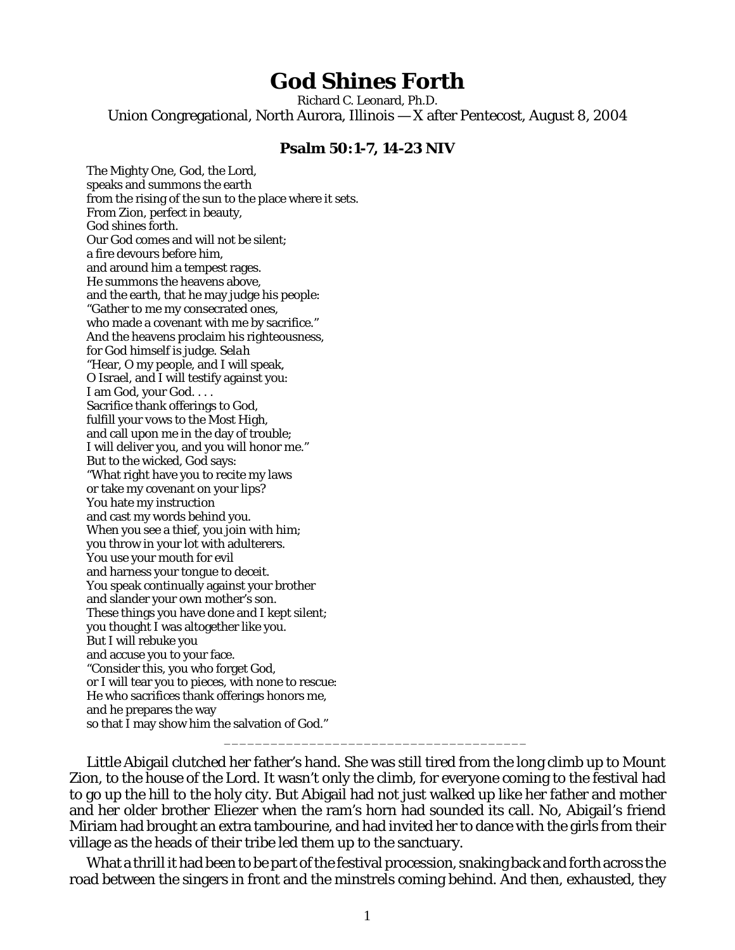## **God Shines Forth**

Richard C. Leonard, Ph.D. Union Congregational, North Aurora, Illinois — X after Pentecost, August 8, 2004

## **Psalm 50:1-7, 14-23 NIV**

The Mighty One, God, the Lord, speaks and summons the earth from the rising of the sun to the place where it sets. From Zion, perfect in beauty, God shines forth. Our God comes and will not be silent; a fire devours before him, and around him a tempest rages. He summons the heavens above, and the earth, that he may judge his people: "Gather to me my consecrated ones, who made a covenant with me by sacrifice." And the heavens proclaim his righteousness, for God himself is judge. *Selah*  "Hear, O my people, and I will speak, O Israel, and I will testify against you: I am God, your God. . . . Sacrifice thank offerings to God, fulfill your vows to the Most High, and call upon me in the day of trouble; I will deliver you, and you will honor me." But to the wicked, God says: "What right have you to recite my laws or take my covenant on your lips? You hate my instruction and cast my words behind you. When you see a thief, you join with him; you throw in your lot with adulterers. You use your mouth for evil and harness your tongue to deceit. You speak continually against your brother and slander your own mother's son. These things you have done and I kept silent; you thought I was altogether like you. But I will rebuke you and accuse you to your face. "Consider this, you who forget God, or I will tear you to pieces, with none to rescue: He who sacrifices thank offerings honors me, and he prepares the way so that I may show him the salvation of God."

Little Abigail clutched her father's hand. She was still tired from the long climb up to Mount Zion, to the house of the Lord. It wasn't only the climb, for everyone coming to the festival had to go up the hill to the holy city. But Abigail had not just walked up like her father and mother and her older brother Eliezer when the ram's horn had sounded its call. No, Abigail's friend Miriam had brought an extra tambourine, and had invited her to dance with the girls from their village as the heads of their tribe led them up to the sanctuary.

\_\_\_\_\_\_\_\_\_\_\_\_\_\_\_\_\_\_\_\_\_\_\_\_\_\_\_\_\_\_\_\_\_\_\_\_\_\_\_

What a thrill it had been to be part of the festival procession, snaking back and forth across the road between the singers in front and the minstrels coming behind. And then, exhausted, they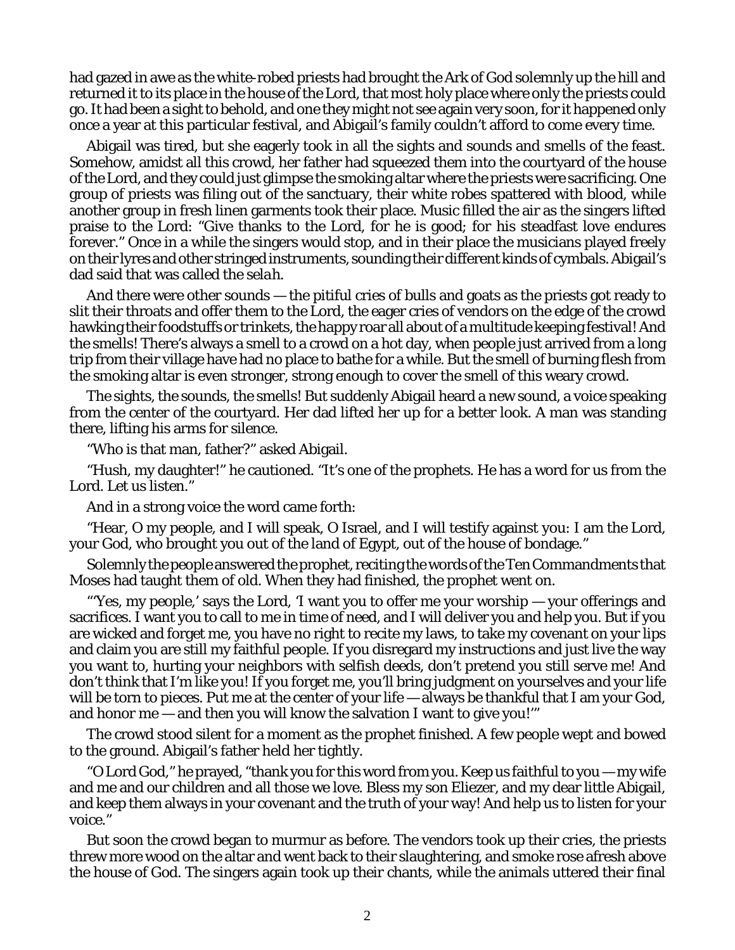had gazed in awe as the white-robed priests had brought the Ark of God solemnly up the hill and returned it to its place in the house of the Lord, that most holy place where only the priests could go. It had been a sight to behold, and one they might not see again very soon, for it happened only once a year at this particular festival, and Abigail's family couldn't afford to come every time.

Abigail was tired, but she eagerly took in all the sights and sounds and smells of the feast. Somehow, amidst all this crowd, her father had squeezed them into the courtyard of the house of the Lord, and they could just glimpse the smoking altar where the priests were sacrificing. One group of priests was filing out of the sanctuary, their white robes spattered with blood, while another group in fresh linen garments took their place. Music filled the air as the singers lifted praise to the Lord: "Give thanks to the Lord, for he is good; for his steadfast love endures forever." Once in a while the singers would stop, and in their place the musicians played freely on their lyres and other stringed instruments, sounding their different kinds of cymbals. Abigail's dad said that was called the *selah*.

And there were other sounds — the pitiful cries of bulls and goats as the priests got ready to slit their throats and offer them to the Lord, the eager cries of vendors on the edge of the crowd hawking their foodstuffs or trinkets, the happy roar all about of a multitude keeping festival! And the smells! There's always a smell to a crowd on a hot day, when people just arrived from a long trip from their village have had no place to bathe for a while. But the smell of burning flesh from the smoking altar is even stronger, strong enough to cover the smell of this weary crowd.

The sights, the sounds, the smells! But suddenly Abigail heard a new sound, a voice speaking from the center of the courtyard. Her dad lifted her up for a better look. A man was standing there, lifting his arms for silence.

"Who is that man, father?" asked Abigail.

"Hush, my daughter!" he cautioned. "It's one of the prophets. He has a word for us from the Lord. Let us listen."

And in a strong voice the word came forth:

"Hear, O my people, and I will speak, O Israel, and I will testify against you: I am the Lord, your God, who brought you out of the land of Egypt, out of the house of bondage."

Solemnly the people answered the prophet, reciting the words of the Ten Commandments that Moses had taught them of old. When they had finished, the prophet went on.

"'Yes, my people,' says the Lord, 'I want you to offer me your worship — your offerings and sacrifices. I want you to call to me in time of need, and I will deliver you and help you. But if you are wicked and forget me, you have no right to recite my laws, to take my covenant on your lips and claim you are still my faithful people. If you disregard my instructions and just live the way you want to, hurting your neighbors with selfish deeds, don't pretend you still serve me! And don't think that I'm like you! If you forget me, you'll bring judgment on yourselves and your life will be torn to pieces. Put me at the center of your life — always be thankful that I am your God, and honor me — and then you will know the salvation I want to give you!'"

The crowd stood silent for a moment as the prophet finished. A few people wept and bowed to the ground. Abigail's father held her tightly.

"O Lord God," he prayed, "thank you for this word from you. Keep us faithful to you — my wife and me and our children and all those we love. Bless my son Eliezer, and my dear little Abigail, and keep them always in your covenant and the truth of your way! And help us to listen for your voice."

But soon the crowd began to murmur as before. The vendors took up their cries, the priests threw more wood on the altar and went back to their slaughtering, and smoke rose afresh above the house of God. The singers again took up their chants, while the animals uttered their final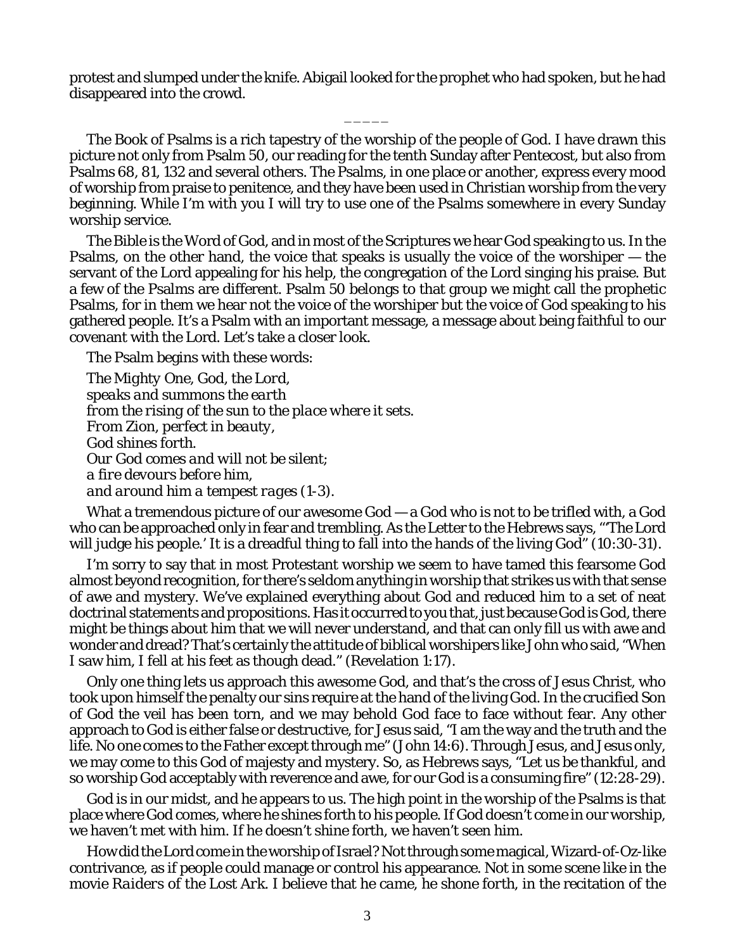protest and slumped under the knife. Abigail looked for the prophet who had spoken, but he had disappeared into the crowd.

 $\overline{\phantom{a}}$ 

The Book of Psalms is a rich tapestry of the worship of the people of God. I have drawn this picture not only from Psalm 50, our reading for the tenth Sunday after Pentecost, but also from Psalms 68, 81, 132 and several others. The Psalms, in one place or another, express every mood of worship from praise to penitence, and they have been used in Christian worship from the very beginning. While I'm with you I will try to use one of the Psalms somewhere in every Sunday worship service.

The Bible is the Word of God, and in most of the Scriptures we hear God speaking to us. In the Psalms, on the other hand, the voice that speaks is usually the voice of the worshiper — the servant of the Lord appealing for his help, the congregation of the Lord singing his praise. But a few of the Psalms are different. Psalm 50 belongs to that group we might call the prophetic Psalms, for in them we hear not the voice of the worshiper but the voice of God speaking to his gathered people. It's a Psalm with an important message, a message about being faithful to our covenant with the Lord. Let's take a closer look.

The Psalm begins with these words:

*The Mighty One, God, the Lord, speaks and summons the earth from the rising of the sun to the place where it sets. From Zion, perfect in beauty, God shines forth. Our God comes and will not be silent; a fire devours before him, and around him a tempest rages* (1-3).

What a tremendous picture of our awesome God — a God who is not to be trifled with, a God who can be approached only in fear and trembling. As the Letter to the Hebrews says, "'The Lord will judge his people.' It is a dreadful thing to fall into the hands of the living God" (10:30-31).

I'm sorry to say that in most Protestant worship we seem to have tamed this fearsome God almost beyond recognition, for there's seldom anything in worship that strikes us with that sense of awe and mystery. We've explained everything about God and reduced him to a set of neat doctrinal statements and propositions. Has it occurred to you that, just because God is God, there might be things about him that we will never understand, and that can only fill us with awe and wonder and dread? That's certainly the attitude of biblical worshipers like John who said, "When I saw him, I fell at his feet as though dead." (Revelation 1:17).

Only one thing lets us approach this awesome God, and that's the cross of Jesus Christ, who took upon himself the penalty our sins require at the hand of the living God. In the crucified Son of God the veil has been torn, and we may behold God face to face without fear. Any other approach to God is either false or destructive, for Jesus said, "I am the way and the truth and the life. No one comes to the Father except through me" (John 14:6). Through Jesus, and Jesus only, we may come to this God of majesty and mystery. So, as Hebrews says, "Let us be thankful, and so worship God acceptably with reverence and awe, for our God is a consuming fire" (12:28-29).

God is in our midst, and he appears to us. The high point in the worship of the Psalms is that place where God comes, where he shines forth to his people. If God doesn't come in our worship, we haven't met with him. If he doesn't *shine* forth, we haven't seen him.

How did the Lord *come* in the worship of Israel? Not through some magical, Wizard-of-Oz-like contrivance, as if people could manage or control his appearance. Not in some scene like in the movie *Raiders of the Lost Ark*. I believe that he *came*, he *shone forth*, in the recitation of the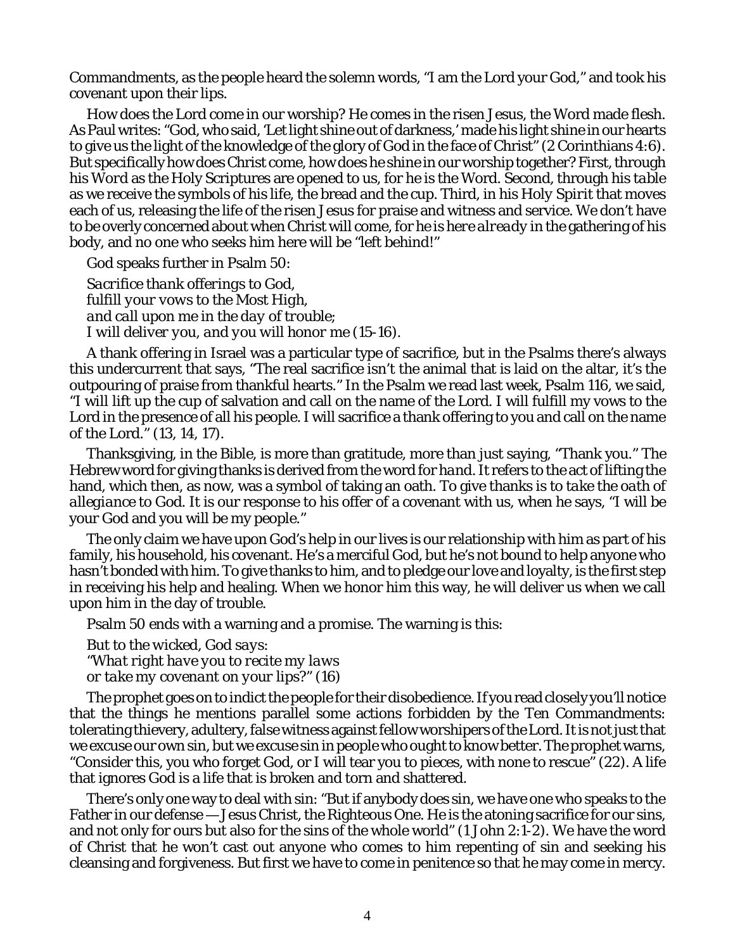Commandments, as the people heard the solemn words, "I am the Lord your God," and took his covenant upon their lips.

How does the Lord *come* in our worship? He comes in the risen Jesus, the Word made flesh. As Paul writes: "God, who said, 'Let light shine out of darkness,' made his light shine in our hearts to give us the light of the knowledge of the glory of God in the face of Christ" (2 Corinthians 4:6). But specifically how does Christ *come*, how does he *shine* in our worship together? First, through his *Word* as the Holy Scriptures are opened to us, for he is the Word. Second, through his *table* as we receive the symbols of his life, the bread and the cup. Third, in his *Holy Spirit* that moves each of us, releasing the life of the risen Jesus for praise and witness and service. We don't have to be overly concerned about when Christ will come, for *he is here already* in the gathering of his body, and no one who seeks him here will be "left behind!"

God speaks further in Psalm 50:

*Sacrifice thank offerings to God, fulfill your vows to the Most High, and call upon me in the day of trouble; I will deliver you, and you will honor me* (15-16).

A thank offering in Israel was a particular type of sacrifice, but in the Psalms there's always this undercurrent that says, "The real sacrifice isn't the animal that is laid on the altar, it's the outpouring of praise from thankful hearts." In the Psalm we read last week, Psalm 116, we said, "I will lift up the cup of salvation and call on the name of the Lord. I will fulfill my vows to the Lord in the presence of all his people. I will sacrifice a thank offering to you and call on the name of the Lord." (13, 14, 17).

Thanksgiving, in the Bible, is more than gratitude, more than just saying, "Thank you." The Hebrew word for giving thanks is derived from the word for *hand*. It refers to the act of lifting the hand, which then, as now, was a symbol of taking an oath. To give thanks is to *take the oath of allegiance* to God. It is our response to his offer of a covenant with us, when he says, "I will be your God and you will be my people."

The only claim we have upon God's help in our lives is our relationship with him as part of his family, his household, his covenant. He's a merciful God, but he's not bound to help anyone who hasn't bonded with him. To give thanks to him, and to pledge our love and loyalty, is the first step in receiving his help and healing. When we honor him this way, he will deliver us when we call upon him in the day of trouble.

Psalm 50 ends with a warning and a promise. The warning is this:

*But to the wicked, God says: "What right have you to recite my laws or take my covenant on your lips?"* (16)

The prophet goes on to indict the people for their disobedience. If you read closely you'll notice that the things he mentions parallel some actions forbidden by the Ten Commandments: tolerating thievery, adultery, false witness against fellow worshipers of the Lord. It is not just that we excuse our own sin, but we excuse sin in people who ought to know better. The prophet warns, "Consider this, you who forget God, or I will tear you to pieces, with none to rescue" (22). A life that ignores God is a life that is broken and torn and shattered.

There's only one way to deal with sin: "But if anybody does sin, we have one who speaks to the Father in our defense — Jesus Christ, the Righteous One. He is the atoning sacrifice for our sins, and not only for ours but also for the sins of the whole world" (1 John 2:1-2). We have the word of Christ that he won't cast out anyone who comes to him repenting of sin and seeking his cleansing and forgiveness. But first we have to *come* in penitence so that he may *come* in mercy.